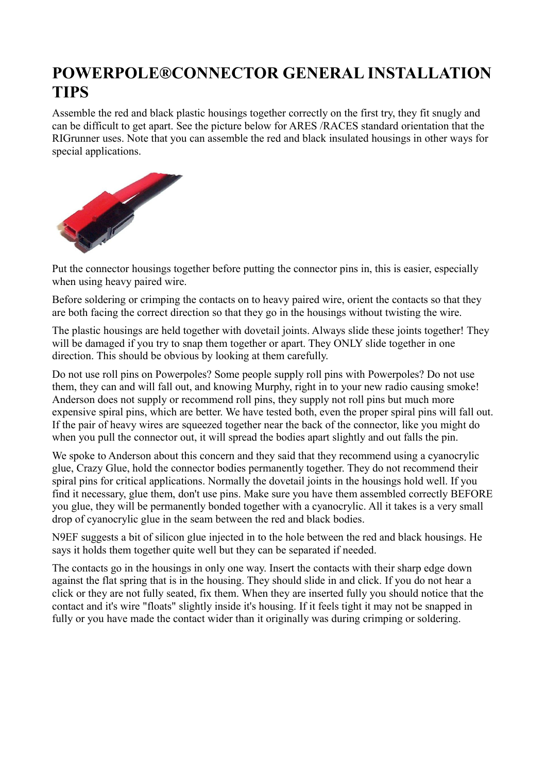## **POWERPOLE®CONNECTOR GENERAL INSTALLATION TIPS**

Assemble the red and black plastic housings together correctly on the first try, they fit snugly and can be difficult to get apart. See the picture below for ARES /RACES standard orientation that the RIGrunner uses. Note that you can assemble the red and black insulated housings in other ways for special applications.



Put the connector housings together before putting the connector pins in, this is easier, especially when using heavy paired wire.

Before soldering or crimping the contacts on to heavy paired wire, orient the contacts so that they are both facing the correct direction so that they go in the housings without twisting the wire.

The plastic housings are held together with dovetail joints. Always slide these joints together! They will be damaged if you try to snap them together or apart. They ONLY slide together in one direction. This should be obvious by looking at them carefully.

Do not use roll pins on Powerpoles? Some people supply roll pins with Powerpoles? Do not use them, they can and will fall out, and knowing Murphy, right in to your new radio causing smoke! Anderson does not supply or recommend roll pins, they supply not roll pins but much more expensive spiral pins, which are better. We have tested both, even the proper spiral pins will fall out. If the pair of heavy wires are squeezed together near the back of the connector, like you might do when you pull the connector out, it will spread the bodies apart slightly and out falls the pin.

We spoke to Anderson about this concern and they said that they recommend using a cyanocrylic glue, Crazy Glue, hold the connector bodies permanently together. They do not recommend their spiral pins for critical applications. Normally the dovetail joints in the housings hold well. If you find it necessary, glue them, don't use pins. Make sure you have them assembled correctly BEFORE you glue, they will be permanently bonded together with a cyanocrylic. All it takes is a very small drop of cyanocrylic glue in the seam between the red and black bodies.

N9EF suggests a bit of silicon glue injected in to the hole between the red and black housings. He says it holds them together quite well but they can be separated if needed.

The contacts go in the housings in only one way. Insert the contacts with their sharp edge down against the flat spring that is in the housing. They should slide in and click. If you do not hear a click or they are not fully seated, fix them. When they are inserted fully you should notice that the contact and it's wire "floats" slightly inside it's housing. If it feels tight it may not be snapped in fully or you have made the contact wider than it originally was during crimping or soldering.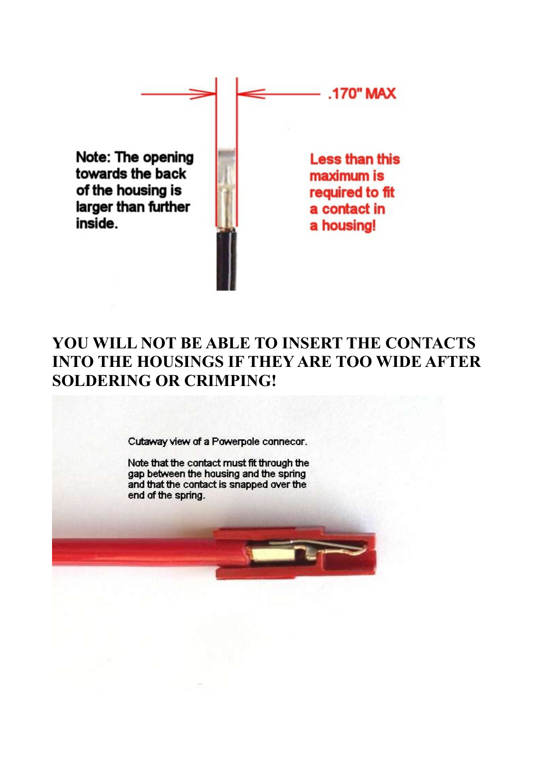Note: The opening towards the back of the housing is larger than further inside.



**Less than this** maximum is required to fit a contact in a housing!

**.170" MAX** 

## YOU WILL NOT BE ABLE TO INSERT THE CONTACTS **INTO THE HOUSINGS IF THEY ARE TOO WIDE AFTER SOLDERING OR CRIMPING!**

Cutaway view of a Powerpole connecor.

Note that the contact must fit through the gap between the housing and the spring and that the contact is snapped over the end of the spring.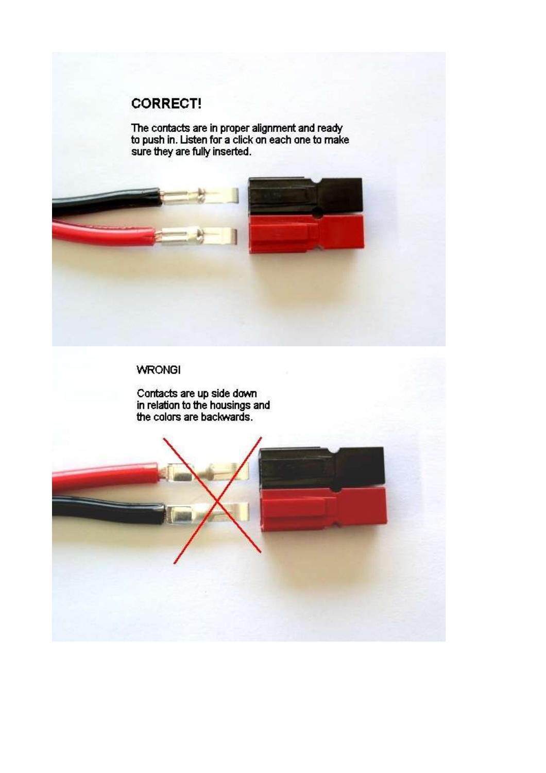## **CORRECT!**

The contacts are in proper alignment and ready<br>to push in. Listen for a click on each one to make<br>sure they are fully inserted.



## **WRONGI**

Contacts are up side down<br>in relation to the housings and<br>the colors are backwards.

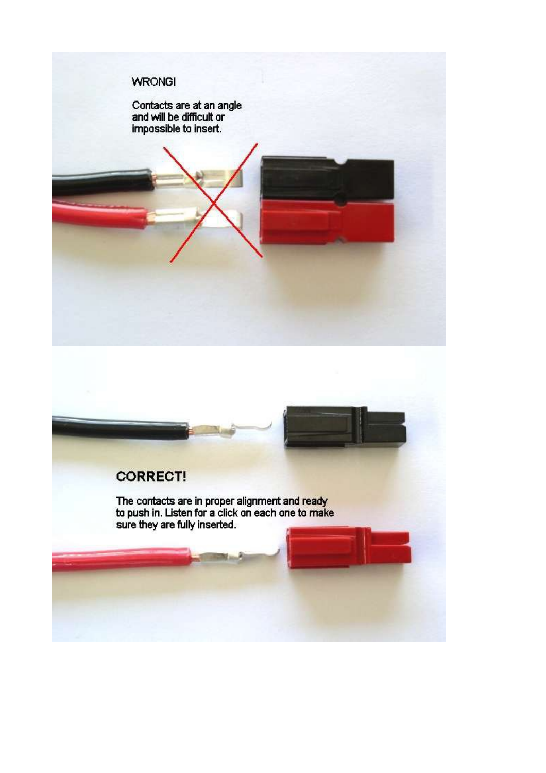